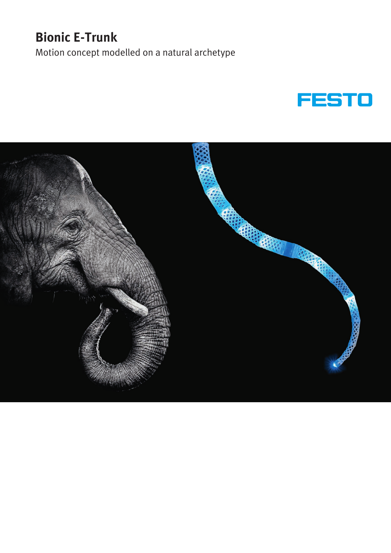# **Bionic E-Trunk**

Motion concept modelled on a natural archetype



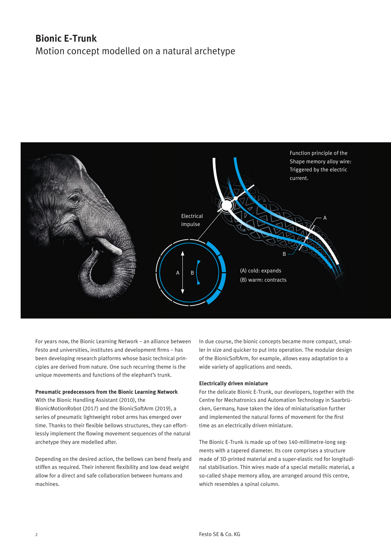# **Bionic E-Trunk** Motion concept modelled on a natural archetype



For years now, the Bionic Learning Network – an alliance between Festo and universities, institutes and development firms – has been developing research platforms whose basic technical principles are derived from nature. One such recurring theme is the unique movements and functions of the elephant's trunk.

#### **Pneumatic predecessors from the Bionic Learning Network**

With the Bionic Handling Assistant (2010), the BionicMotionRobot (2017) and the BionicSoftArm (2019), a series of pneumatic lightweight robot arms has emerged over time. Thanks to their flexible bellows structures, they can effortlessly implement the flowing movement sequences of the natural archetype they are modelled after.

Depending on the desired action, the bellows can bend freely and stiffen as required. Their inherent flexibility and low dead weight allow for a direct and safe collaboration between humans and machines.

In due course, the bionic concepts became more compact, smaller in size and quicker to put into operation. The modular design of the BionicSoftArm, for example, allows easy adaptation to a wide variety of applications and needs.

# **Electrically driven miniature**

For the delicate Bionic E-Trunk, our developers, together with the Centre for Mechatronics and Automation Technology in Saarbrücken, Germany, have taken the idea of miniaturisation further and implemented the natural forms of movement for the first time as an electrically driven miniature.

The Bionic E-Trunk is made up of two 140-millimetre-long segments with a tapered diameter. Its core comprises a structure made of 3D-printed material and a super-elastic rod for longitudinal stabilisation. Thin wires made of a special metallic material, a so-called shape memory alloy, are arranged around this centre, which resembles a spinal column.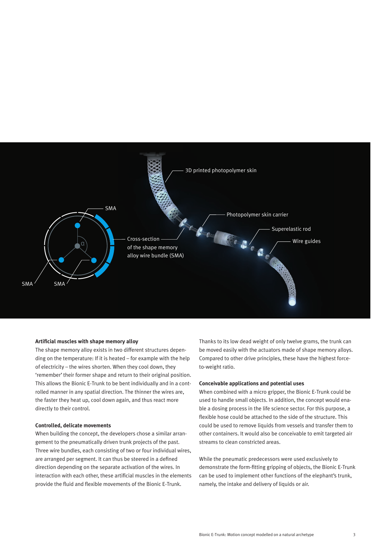

#### **Artificial muscles with shape memory alloy**

The shape memory alloy exists in two different structures depending on the temperature: If it is heated – for example with the help of electricity – the wires shorten. When they cool down, they 'remember' their former shape and return to their original position. This allows the Bionic E-Trunk to be bent individually and in a controlled manner in any spatial direction. The thinner the wires are, the faster they heat up, cool down again, and thus react more directly to their control.

#### **Controlled, delicate movements**

When building the concept, the developers chose a similar arrangement to the pneumatically driven trunk projects of the past. Three wire bundles, each consisting of two or four individual wires, are arranged per segment. It can thus be steered in a defined direction depending on the separate activation of the wires. In interaction with each other, these artificial muscles in the elements provide the fluid and flexible movements of the Bionic E-Trunk.

Thanks to its low dead weight of only twelve grams, the trunk can be moved easily with the actuators made of shape memory alloys. Compared to other drive principles, these have the highest forceto-weight ratio.

# **Conceivable applications and potential uses**

When combined with a micro gripper, the Bionic E-Trunk could be used to handle small objects. In addition, the concept would enable a dosing process in the life science sector. For this purpose, a flexible hose could be attached to the side of the structure. This could be used to remove liquids from vessels and transfer them to other containers. It would also be conceivable to emit targeted air streams to clean constricted areas.

While the pneumatic predecessors were used exclusively to demonstrate the form-fitting gripping of objects, the Bionic E-Trunk can be used to implement other functions of the elephant's trunk, namely, the intake and delivery of liquids or air.